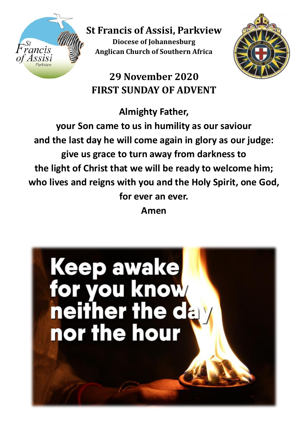

**St Francis of Assisi, Parkview Diocese of Johannesburg Anglican Church of Southern Africa**

**29 November 2020 FIRST SUNDAY OF ADVENT**

**Almighty Father,** 

**your Son came to us in humility as our saviour and the last day he will come again in glory as our judge: give us grace to turn away from darkness to the light of Christ that we will be ready to welcome him; who lives and reigns with you and the Holy Spirit, one God, for ever an ever.**

**Amen**

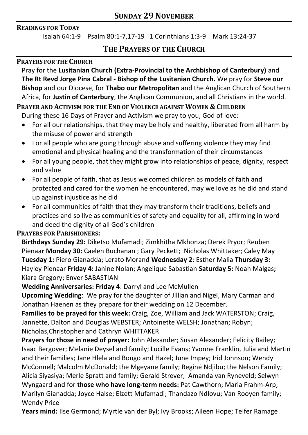#### **READINGS FOR TODAY**

Isaiah 64:1-9 Psalm 80:1-7,17-19 1 Corinthians 1:3-9 Mark 13:24-37

## **THE PRAYERS OF THE CHURCH**

#### **PRAYERS FOR THE CHURCH**

Pray for the **Lusitanian Church (Extra-Provincial to the Archbishop of Canterbury)** and **The Rt Revd Jorge Pina Cabral - Bishop of the Lusitanian Church.** We pray for **Steve our Bishop** and our Diocese, for **Thabo our Metropolitan** and the Anglican Church of Southern Africa, for **Justin of Canterbury**, the Anglican Communion, and all Christians in the world.

## **PRAYER AND ACTIVISM FOR THE END OF VIOLENCE AGAINST WOMEN & CHILDREN**

During these 16 Days of Prayer and Activism we pray to you, God of love:

- For all our relationships, that they may be holy and healthy, liberated from all harm by the misuse of power and strength
- For all people who are going through abuse and suffering violence they may find emotional and physical healing and the transformation of their circumstances
- For all young people, that they might grow into relationships of peace, dignity, respect and value
- For all people of faith, that as Jesus welcomed children as models of faith and protected and cared for the women he encountered, may we love as he did and stand up against injustice as he did
- For all communities of faith that they may transform their traditions, beliefs and practices and so live as communities of safety and equality for all, affirming in word and deed the dignity of all God's children

### **PRAYERS FOR PARISHIONERS:**

**Birthdays Sunday 29:** Diketso Mufamadi; Zimkhitha Mkhonza; Derek Pryor; Reuben Pienaa**r Monday 30:** Caelen Buchanan ; Gary Peckett; Nicholas Whittaker; Caley May **Tuesday 1:** Piero Gianadda; Lerato Morand **Wednesday 2**: Esther Malia **Thursday 3:** Hayley Pienaar **Friday 4:** Janine Nolan; Angelique Sabastian **Saturday 5:** Noah Malgas**;**  Kiara Gregory; Enver SABASTIAN

### **Wedding Anniversaries: Friday 4**: Darryl and Lee McMullen

**Upcoming Wedding**: We pray for the daughter of Jillian and Nigel, Mary Carman and Jonathan Haenen as they prepare for their wedding on 12 December.

**Families to be prayed for this week:** Craig, Zoe, William and Jack WATERSTON; Craig, Jannette, Dalton and Douglas WEBSTER; Antoinette WELSH; Jonathan; Robyn; Nicholas,Christopher and Cathryn WHITTAKER

**Prayers for those in need of prayer:** John Alexander; Susan Alexander; Felicity Bailey; Isaac Bergover; Melanie Deysel and family; Lucille Evans; Yvonne Franklin, Julia and Martin and their families; Jane Hlela and Bongo and Hazel; June Impey; Irid Johnson; Wendy McConnell; Malcolm McDonald; the Mgeyane family; Reginė Ndjibu; the Nelson Family; Alicia Siyasiya; Merle Spratt and family; Gerald Strever; Amanda van Ryneveld; Selwyn Wyngaard and for **those who have long-term needs:** Pat Cawthorn; Maria Frahm-Arp; Marilyn Gianadda; Joyce Halse; Elzett Mufamadi; Thandazo Ndlovu; Van Rooyen family; Wendy Price

**Years mind:** Ilse Germond; Myrtle van der Byl; Ivy Brooks; Aileen Hope; Telfer Ramage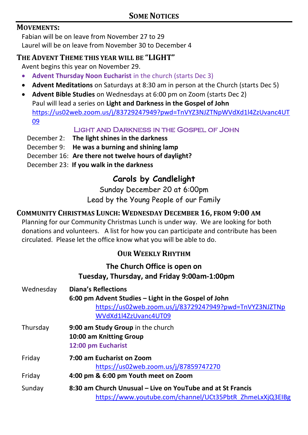### **MOVEMENTS:**

Fabian will be on leave from November 27 to 29 Laurel will be on leave from November 30 to December 4

### **THE ADVENT THEME THIS YEAR WILL BE "LIGHT"**

Avent begins this year on November 29.

- **Advent Thursday Noon Eucharist** in the church (starts Dec 3)
- **Advent Meditations** on Saturdays at 8:30 am in person at the Church (starts Dec 5)
- **Advent Bible Studies** on Wednesdays at 6:00 pm on Zoom (starts Dec 2) Paul will lead a series on **Light and Darkness in the Gospel of John**  [https://us02web.zoom.us/j/83729247949?pwd=TnVYZ3NJZTNpWVdXd1l4ZzUvanc4UT](https://us02web.zoom.us/j/83729247949?pwd=TnVYZ3NJZTNpWVdXd1l4ZzUvanc4UT09) [09](https://us02web.zoom.us/j/83729247949?pwd=TnVYZ3NJZTNpWVdXd1l4ZzUvanc4UT09)

### Light and Darkness in the Gospel of John

- December 2: **The light shines in the darkness**
- December 9: **He was a burning and shining lamp**
- December 16: **Are there not twelve hours of daylight?**
- December 23: **If you walk in the darkness**

# **Carols by Candlelight**

Sunday December 20 at 6:00pm Lead by the Young People of our Family

## **COMMUNITY CHRISTMAS LUNCH: WEDNESDAY DECEMBER 16, FROM 9:00 AM**

Planning for our Community Christmas Lunch is under way. We are looking for both donations and volunteers. A list for how you can participate and contribute has been circulated. Please let the office know what you will be able to do.

## **OUR WEEKLY RHYTHM**

## **The Church Office is open on Tuesday, Thursday, and Friday 9:00am-1:00pm**

| Wednesday | <b>Diana's Reflections</b><br>6:00 pm Advent Studies – Light in the Gospel of John<br>https://us02web.zoom.us/j/83729247949?pwd=TnVYZ3NJZTNp<br>WVdXd1l4ZzUvanc4UT09 |
|-----------|----------------------------------------------------------------------------------------------------------------------------------------------------------------------|
| Thursday  | 9:00 am Study Group in the church<br>10:00 am Knitting Group<br>12:00 pm Eucharist                                                                                   |
| Friday    | 7:00 am Eucharist on Zoom<br>https://us02web.zoom.us/j/87859747270                                                                                                   |
| Friday    | 4:00 pm & 6:00 pm Youth meet on Zoom                                                                                                                                 |
| Sunday    | 8:30 am Church Unusual – Live on YouTube and at St Francis<br>https://www.youtube.com/channel/UCt35PbtR_ZhmeLxXjQ3EIBg                                               |